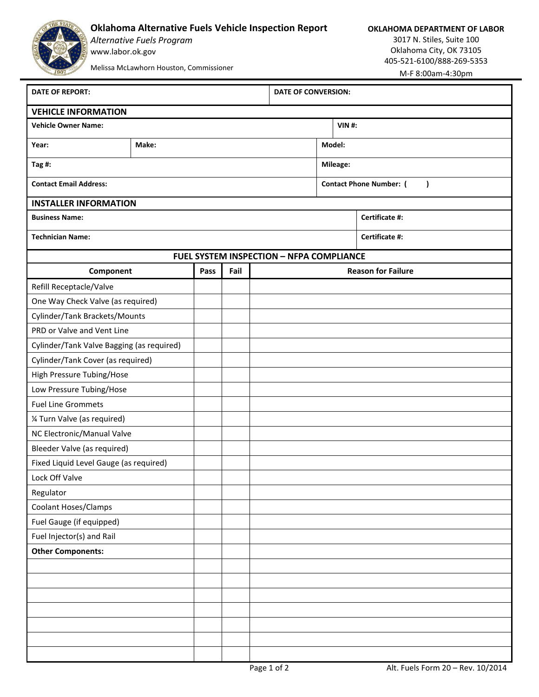## **Oklahoma Alternative Fuels Vehicle Inspection Report**

*Alternative Fuels Program* www.labor.ok.gov

**OKLAHOMA DEPARTMENT OF LABOR**

3017 N. Stiles, Suite 100 Oklahoma City, OK 73105 405-521-6100/888-269-5353 M-F 8:00am-4:30pm

Melissa McLawhorn Houston, Commissioner

**DATE OF REPORT: DATE OF CONVERSION: Vehicle Owner Name: VIN #: Year: Make: Model: Tag #: Mileage:**

**Business Name: Certificate #:**

**Contact Email Address: Contact Phone Number: ( )**

**VEHICLE INFORMATION**

## **INSTALLER INFORMATION**

| <b>Technician Name:</b> | Certificate #: |
|-------------------------|----------------|
|                         |                |

## **FUEL SYSTEM INSPECTION – NFPA COMPLIANCE**

| Component                                 | Pass | Fail | <b>Reason for Failure</b> |
|-------------------------------------------|------|------|---------------------------|
| Refill Receptacle/Valve                   |      |      |                           |
| One Way Check Valve (as required)         |      |      |                           |
| Cylinder/Tank Brackets/Mounts             |      |      |                           |
| PRD or Valve and Vent Line                |      |      |                           |
| Cylinder/Tank Valve Bagging (as required) |      |      |                           |
| Cylinder/Tank Cover (as required)         |      |      |                           |
| High Pressure Tubing/Hose                 |      |      |                           |
| Low Pressure Tubing/Hose                  |      |      |                           |
| <b>Fuel Line Grommets</b>                 |      |      |                           |
| 1⁄4 Turn Valve (as required)              |      |      |                           |
| NC Electronic/Manual Valve                |      |      |                           |
| Bleeder Valve (as required)               |      |      |                           |
| Fixed Liquid Level Gauge (as required)    |      |      |                           |
| Lock Off Valve                            |      |      |                           |
| Regulator                                 |      |      |                           |
| Coolant Hoses/Clamps                      |      |      |                           |
| Fuel Gauge (if equipped)                  |      |      |                           |
| Fuel Injector(s) and Rail                 |      |      |                           |
| <b>Other Components:</b>                  |      |      |                           |
|                                           |      |      |                           |
|                                           |      |      |                           |
|                                           |      |      |                           |
|                                           |      |      |                           |
|                                           |      |      |                           |
|                                           |      |      |                           |
|                                           |      |      |                           |